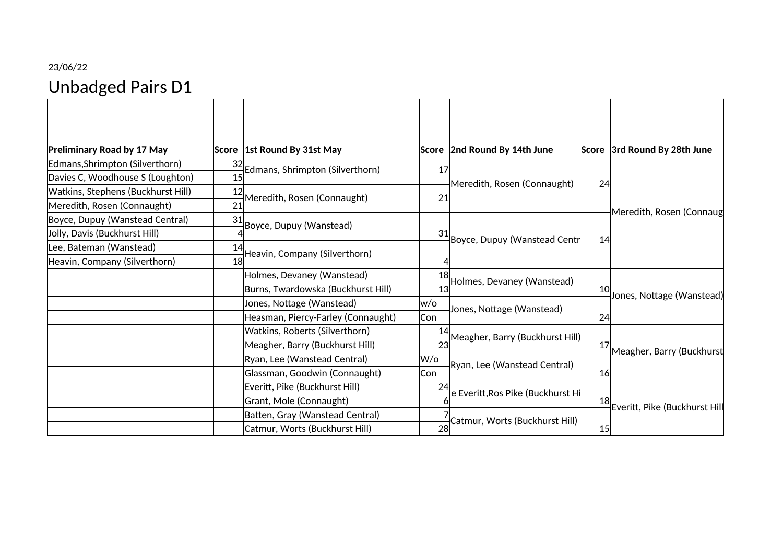## 23/06/22 Unbadged Pairs D1

| <b>Preliminary Road by 17 May</b>  |    | Score 1st Round By 31st May        |     | Score 2nd Round By 14th June                                                                        | Score | 3rd Round By 28th June        |  |
|------------------------------------|----|------------------------------------|-----|-----------------------------------------------------------------------------------------------------|-------|-------------------------------|--|
| Edmans, Shrimpton (Silverthorn)    | 32 |                                    |     | Meredith, Rosen (Connaught)                                                                         | 24    | Meredith, Rosen (Connaug      |  |
| Davies C, Woodhouse S (Loughton)   | 15 | Edmans, Shrimpton (Silverthorn)    | 17  |                                                                                                     |       |                               |  |
| Watkins, Stephens (Buckhurst Hill) | 12 |                                    |     |                                                                                                     |       |                               |  |
| Meredith, Rosen (Connaught)        | 21 | Meredith, Rosen (Connaught)        | 21  |                                                                                                     |       |                               |  |
| Boyce, Dupuy (Wanstead Central)    | 31 | Boyce, Dupuy (Wanstead)            |     |                                                                                                     |       |                               |  |
| Jolly, Davis (Buckhurst Hill)      |    |                                    |     | Boyce, Dupuy (Wanstead Centr                                                                        | 14    |                               |  |
| Lee, Bateman (Wanstead)            | 14 | Heavin, Company (Silverthorn)      |     |                                                                                                     |       |                               |  |
| Heavin, Company (Silverthorn)      | 18 |                                    |     |                                                                                                     |       |                               |  |
|                                    |    | Holmes, Devaney (Wanstead)         | 18  | Holmes, Devaney (Wanstead)                                                                          | 10    | Jones, Nottage (Wanstead)     |  |
|                                    |    | Burns, Twardowska (Buckhurst Hill) | 13  |                                                                                                     |       |                               |  |
|                                    |    | Jones, Nottage (Wanstead)          | w/o | Jones, Nottage (Wanstead)                                                                           |       |                               |  |
|                                    |    | Heasman, Piercy-Farley (Connaught) | Con |                                                                                                     | 24    |                               |  |
|                                    |    | Watkins, Roberts (Silverthorn)     | 14  | Meagher, Barry (Buckhurst Hill)<br>Ryan, Lee (Wanstead Central)<br>e Everitt,Ros Pike (Buckhurst Hi | 17    | Meagher, Barry (Buckhurst     |  |
|                                    |    | Meagher, Barry (Buckhurst Hill)    | 23  |                                                                                                     |       |                               |  |
|                                    |    | Ryan, Lee (Wanstead Central)       | W/o |                                                                                                     |       |                               |  |
|                                    |    | Glassman, Goodwin (Connaught)      | Con |                                                                                                     | 16    |                               |  |
|                                    |    | Everitt, Pike (Buckhurst Hill)     |     |                                                                                                     |       | Everitt, Pike (Buckhurst Hill |  |
|                                    |    | Grant, Mole (Connaught)            |     |                                                                                                     | 18    |                               |  |
|                                    |    | Batten, Gray (Wanstead Central)    |     | Catmur, Worts (Buckhurst Hill)                                                                      |       |                               |  |
|                                    |    | Catmur, Worts (Buckhurst Hill)     | 28  |                                                                                                     | 15    |                               |  |